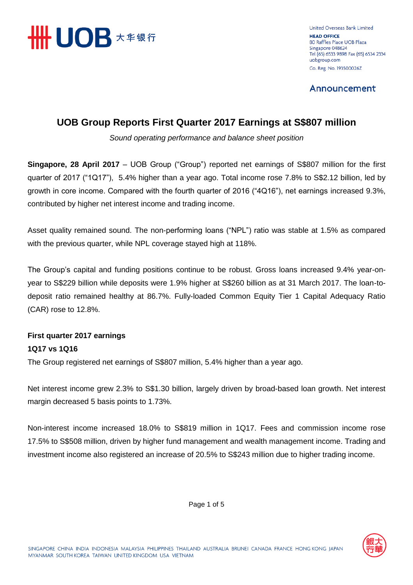

United Overseas Bank Limited **HEAD OFFICE** 80 Raffles Place UOB Plaza Singapore 048624 Tel (65) 6533 9898 Fax (65) 6534 2334 uobgroup.com Co. Reg. No. 193500026Z

Announcement

## **UOB Group Reports First Quarter 2017 Earnings at S\$807 million**

*Sound operating performance and balance sheet position*

**Singapore, 28 April 2017** – UOB Group ("Group") reported net earnings of S\$807 million for the first quarter of 2017 ("1Q17"), 5.4% higher than a year ago. Total income rose 7.8% to S\$2.12 billion, led by growth in core income. Compared with the fourth quarter of 2016 ("4Q16"), net earnings increased 9.3%, contributed by higher net interest income and trading income.

Asset quality remained sound. The non-performing loans ("NPL") ratio was stable at 1.5% as compared with the previous quarter, while NPL coverage stayed high at 118%.

The Group's capital and funding positions continue to be robust. Gross loans increased 9.4% year-onyear to S\$229 billion while deposits were 1.9% higher at S\$260 billion as at 31 March 2017. The loan-todeposit ratio remained healthy at 86.7%. Fully-loaded Common Equity Tier 1 Capital Adequacy Ratio (CAR) rose to 12.8%.

### **First quarter 2017 earnings 1Q17 vs 1Q16**

The Group registered net earnings of S\$807 million, 5.4% higher than a year ago.

Net interest income grew 2.3% to S\$1.30 billion, largely driven by broad-based loan growth. Net interest margin decreased 5 basis points to 1.73%.

Non-interest income increased 18.0% to S\$819 million in 1Q17. Fees and commission income rose 17.5% to S\$508 million, driven by higher fund management and wealth management income. Trading and investment income also registered an increase of 20.5% to S\$243 million due to higher trading income.

Page 1 of 5

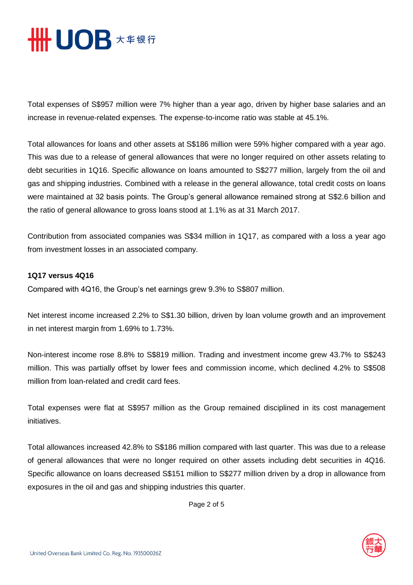

Total expenses of S\$957 million were 7% higher than a year ago, driven by higher base salaries and an increase in revenue-related expenses. The expense-to-income ratio was stable at 45.1%.

Total allowances for loans and other assets at S\$186 million were 59% higher compared with a year ago. This was due to a release of general allowances that were no longer required on other assets relating to debt securities in 1Q16. Specific allowance on loans amounted to S\$277 million, largely from the oil and gas and shipping industries. Combined with a release in the general allowance, total credit costs on loans were maintained at 32 basis points. The Group's general allowance remained strong at S\$2.6 billion and the ratio of general allowance to gross loans stood at 1.1% as at 31 March 2017.

Contribution from associated companies was S\$34 million in 1Q17, as compared with a loss a year ago from investment losses in an associated company.

#### **1Q17 versus 4Q16**

Compared with 4Q16, the Group's net earnings grew 9.3% to S\$807 million.

Net interest income increased 2.2% to S\$1.30 billion, driven by loan volume growth and an improvement in net interest margin from 1.69% to 1.73%.

Non-interest income rose 8.8% to S\$819 million. Trading and investment income grew 43.7% to S\$243 million. This was partially offset by lower fees and commission income, which declined 4.2% to S\$508 million from loan-related and credit card fees.

Total expenses were flat at S\$957 million as the Group remained disciplined in its cost management initiatives.

Total allowances increased 42.8% to S\$186 million compared with last quarter. This was due to a release of general allowances that were no longer required on other assets including debt securities in 4Q16. Specific allowance on loans decreased S\$151 million to S\$277 million driven by a drop in allowance from exposures in the oil and gas and shipping industries this quarter.

Page 2 of 5

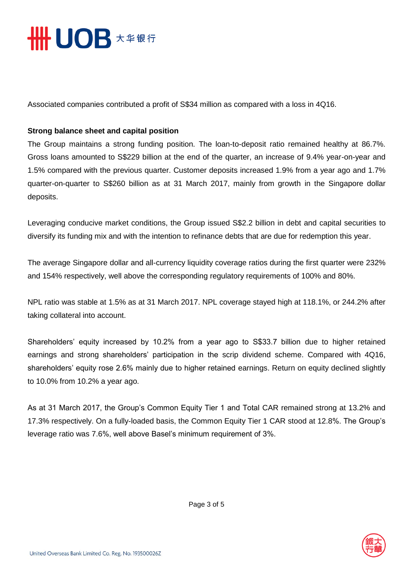

Associated companies contributed a profit of S\$34 million as compared with a loss in 4Q16.

#### **Strong balance sheet and capital position**

The Group maintains a strong funding position. The loan-to-deposit ratio remained healthy at 86.7%. Gross loans amounted to S\$229 billion at the end of the quarter, an increase of 9.4% year-on-year and 1.5% compared with the previous quarter. Customer deposits increased 1.9% from a year ago and 1.7% quarter-on-quarter to S\$260 billion as at 31 March 2017, mainly from growth in the Singapore dollar deposits.

Leveraging conducive market conditions, the Group issued S\$2.2 billion in debt and capital securities to diversify its funding mix and with the intention to refinance debts that are due for redemption this year.

The average Singapore dollar and all-currency liquidity coverage ratios during the first quarter were 232% and 154% respectively, well above the corresponding regulatory requirements of 100% and 80%.

NPL ratio was stable at 1.5% as at 31 March 2017. NPL coverage stayed high at 118.1%, or 244.2% after taking collateral into account.

Shareholders' equity increased by 10.2% from a year ago to S\$33.7 billion due to higher retained earnings and strong shareholders' participation in the scrip dividend scheme. Compared with 4Q16, shareholders' equity rose 2.6% mainly due to higher retained earnings. Return on equity declined slightly to 10.0% from 10.2% a year ago.

As at 31 March 2017, the Group's Common Equity Tier 1 and Total CAR remained strong at 13.2% and 17.3% respectively. On a fully-loaded basis, the Common Equity Tier 1 CAR stood at 12.8%. The Group's leverage ratio was 7.6%, well above Basel's minimum requirement of 3%.



Page 3 of 5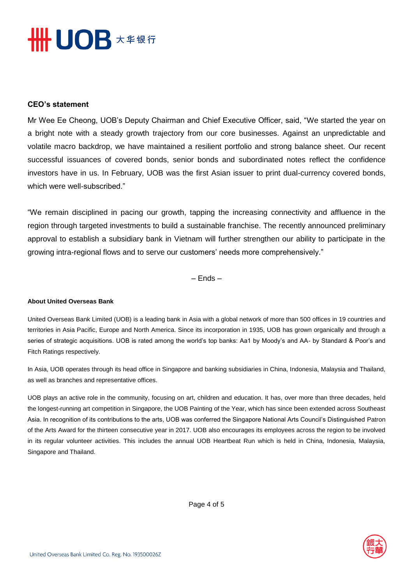# **SHHUOB** ★ <sub>年银行</sub>

#### **CEO's statement**

Mr Wee Ee Cheong, UOB's Deputy Chairman and Chief Executive Officer, said, "We started the year on a bright note with a steady growth trajectory from our core businesses. Against an unpredictable and volatile macro backdrop, we have maintained a resilient portfolio and strong balance sheet. Our recent successful issuances of covered bonds, senior bonds and subordinated notes reflect the confidence investors have in us. In February, UOB was the first Asian issuer to print dual-currency covered bonds, which were well-subscribed."

"We remain disciplined in pacing our growth, tapping the increasing connectivity and affluence in the region through targeted investments to build a sustainable franchise. The recently announced preliminary approval to establish a subsidiary bank in Vietnam will further strengthen our ability to participate in the growing intra-regional flows and to serve our customers' needs more comprehensively."

– Ends –

#### **About United Overseas Bank**

United Overseas Bank Limited (UOB) is a leading bank in Asia with a global network of more than 500 offices in 19 countries and territories in Asia Pacific, Europe and North America. Since its incorporation in 1935, UOB has grown organically and through a series of strategic acquisitions. UOB is rated among the world's top banks: Aa1 by Moody's and AA- by Standard & Poor's and Fitch Ratings respectively.

In Asia, UOB operates through its head office in Singapore and banking subsidiaries in China, Indonesia, Malaysia and Thailand, as well as branches and representative offices.

UOB plays an active role in the community, focusing on art, children and education. It has, over more than three decades, held the longest-running art competition in Singapore, the UOB Painting of the Year, which has since been extended across Southeast Asia. In recognition of its contributions to the arts, UOB was conferred the Singapore National Arts Council's Distinguished Patron of the Arts Award for the thirteen consecutive year in 2017. UOB also encourages its employees across the region to be involved in its regular volunteer activities. This includes the annual UOB Heartbeat Run which is held in China, Indonesia, Malaysia, Singapore and Thailand.